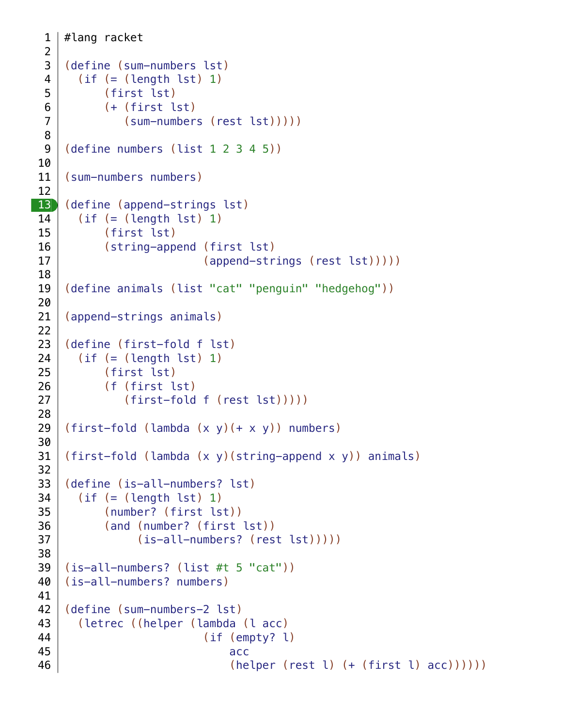```
#lang racket
    (define (sum-numbers lst)
       (if (= (length 1st) 1) (first lst)
            (+ (first lst)
                (sum-numbers (rest lst)))))
    (define numbers (list 1 2 3 4 5))
    (sum-numbers numbers)
    (define (append-strings lst)
       (if (= (length 1st) 1) (first lst)
            (string-append (first lst)
                             (append-strings (rest lst)))))
    (define animals (list "cat" "penguin" "hedgehog"))
    (append-strings animals)
    (define (first-fold f lst)
       (if (= (length 1st) 1) (first lst)
            (f (first lst)
                (first-fold f (rest lst)))))
    (first-fold (lambda (x y)(+ x y)) numbers)
    (first-fold (lambda (x y)(string-append x y)) animals)
    (define (is-all-numbers? lst)
       (if (= (length 1st) 1) (number? (first lst))
            (and (number? (first lst))
                  (is-all-numbers? (rest lst)))))
    (is-all-numbers? (list #t 5 "cat"))
    (is-all-numbers? numbers)
    (define (sum-numbers-2 lst)
        (letrec ((helper (lambda (l acc)
                             (if (empty? l)
    access to the contract of the contract of the contract of the contract of the contract of the contract of the
                                 (helper (rest 1) (+ (first 1) acc))))1
 2
 3
 4
 5
 6
 7
 8
 9
10
11
12
|13|14
15
16
17
18
19
20
21
22
23
24
25
26
27
28
29
30
31
32
33
34
35
36
37
38
39
40
41
42
43
44
45
46
```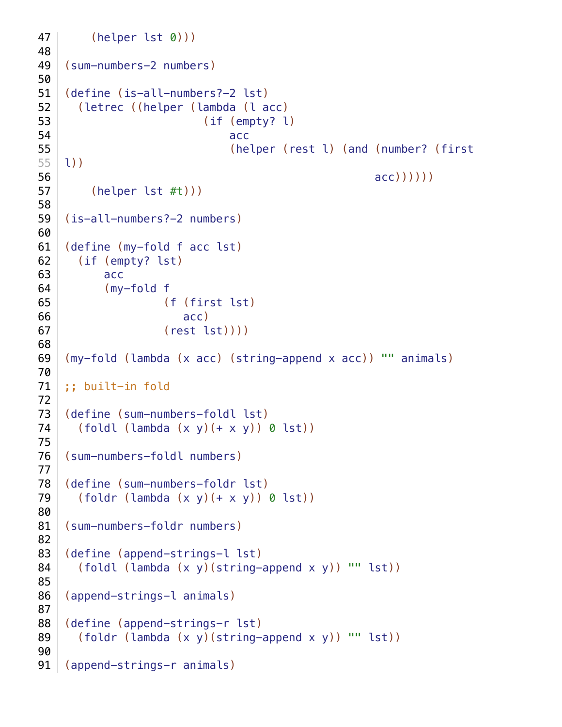```
(helper lst 0)))
    (sum-numbers-2 numbers)
    (define (is-all-numbers?-2 lst)
        (letrec ((helper (lambda (l acc)
                             (if (empty? l)
    access to the contract of the contract of the contract of the contract of the contract of the contract of the
                                  (helper (rest l) (and (number? (first
    l))
                                                          acc)))))
          (helper lst #t)))
    (is-all-numbers?-2 numbers)
    (define (my-fold f acc lst)
        (if (empty? lst)
            acc
            (my-fold f
                      (f (first lst)
                          acc)
                       (rest lst))))
    (my-fold (lambda (x acc) (string-append x acc)) "" animals)
    ;; built-in fold
    (define (sum-numbers-foldl lst)
       (foldl (lambda (x, y) (+ x, y)) 0 lst))
    (sum-numbers-foldl numbers)
    (define (sum-numbers-foldr lst)
       (foldr (lambda (x, y) (+ x, y)) 0 lst))
    (sum-numbers-foldr numbers)
    (define (append-strings-l lst)
        (foldl (lambda (x y)(string-append x y)) "" lst))
    (append-strings-l animals)
    (define (append-strings-r lst)
       (foldr (lambda (x, y) (string-append x, y)) "" lst))
   (append-strings-r animals)
47
48
49
50
51
52
53
54
55
55
56
57
58
59
60
61
62
63
64
65
66
67
68
69
70
71
72
73
74
75
76
77
78
79
80
81
82
83
84
85
86
87
88
89
90
91
```